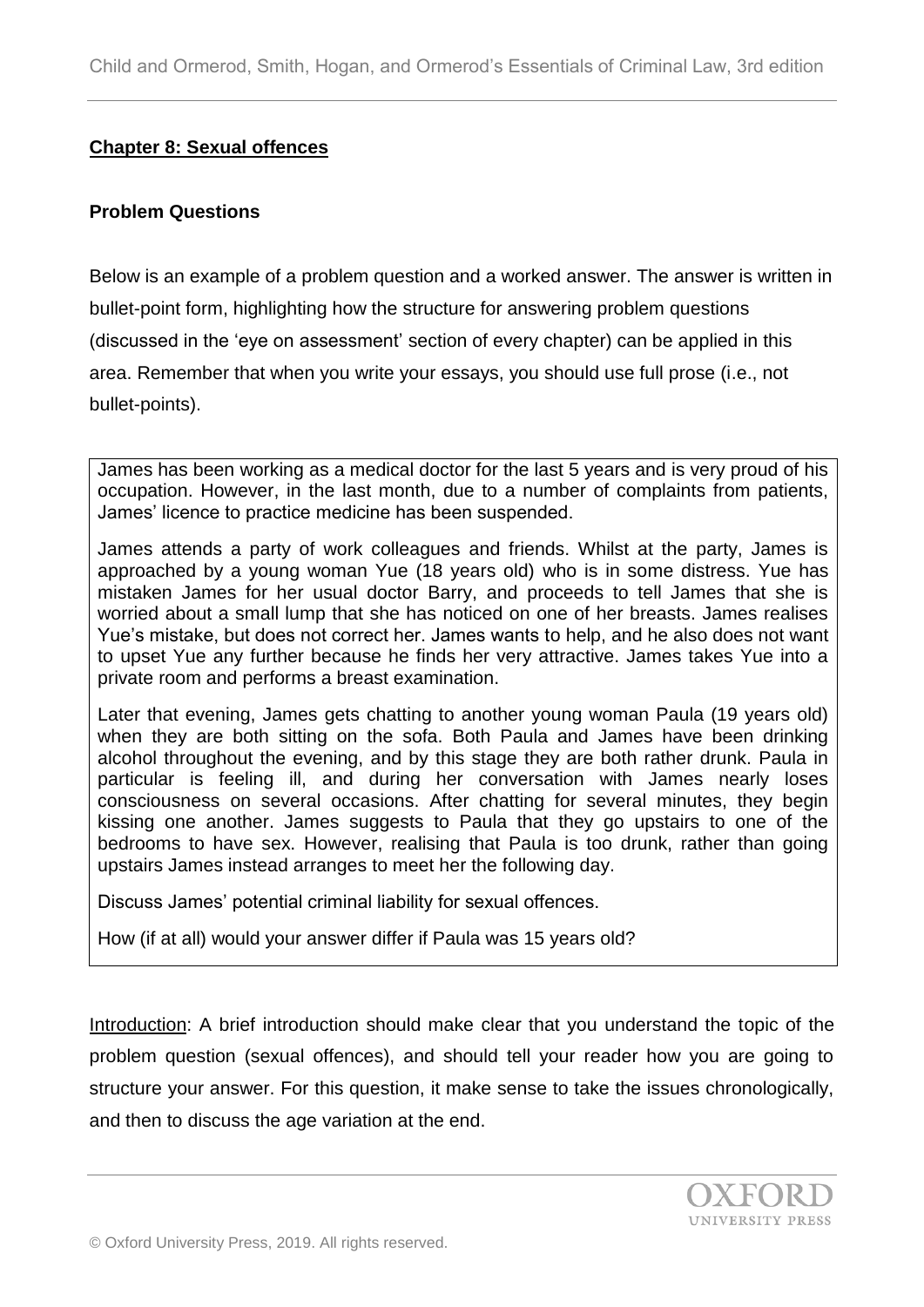## **Chapter 8: Sexual offences**

#### **Problem Questions**

Below is an example of a problem question and a worked answer. The answer is written in bullet-point form, highlighting how the structure for answering problem questions (discussed in the 'eye on assessment' section of every chapter) can be applied in this area. Remember that when you write your essays, you should use full prose (i.e., not bullet-points).

James has been working as a medical doctor for the last 5 years and is very proud of his occupation. However, in the last month, due to a number of complaints from patients, James' licence to practice medicine has been suspended.

James attends a party of work colleagues and friends. Whilst at the party, James is approached by a young woman Yue (18 years old) who is in some distress. Yue has mistaken James for her usual doctor Barry, and proceeds to tell James that she is worried about a small lump that she has noticed on one of her breasts. James realises Yue's mistake, but does not correct her. James wants to help, and he also does not want to upset Yue any further because he finds her very attractive. James takes Yue into a private room and performs a breast examination.

Later that evening, James gets chatting to another young woman Paula (19 years old) when they are both sitting on the sofa. Both Paula and James have been drinking alcohol throughout the evening, and by this stage they are both rather drunk. Paula in particular is feeling ill, and during her conversation with James nearly loses consciousness on several occasions. After chatting for several minutes, they begin kissing one another. James suggests to Paula that they go upstairs to one of the bedrooms to have sex. However, realising that Paula is too drunk, rather than going upstairs James instead arranges to meet her the following day.

Discuss James' potential criminal liability for sexual offences.

How (if at all) would your answer differ if Paula was 15 years old?

Introduction: A brief introduction should make clear that you understand the topic of the problem question (sexual offences), and should tell your reader how you are going to structure your answer. For this question, it make sense to take the issues chronologically, and then to discuss the age variation at the end.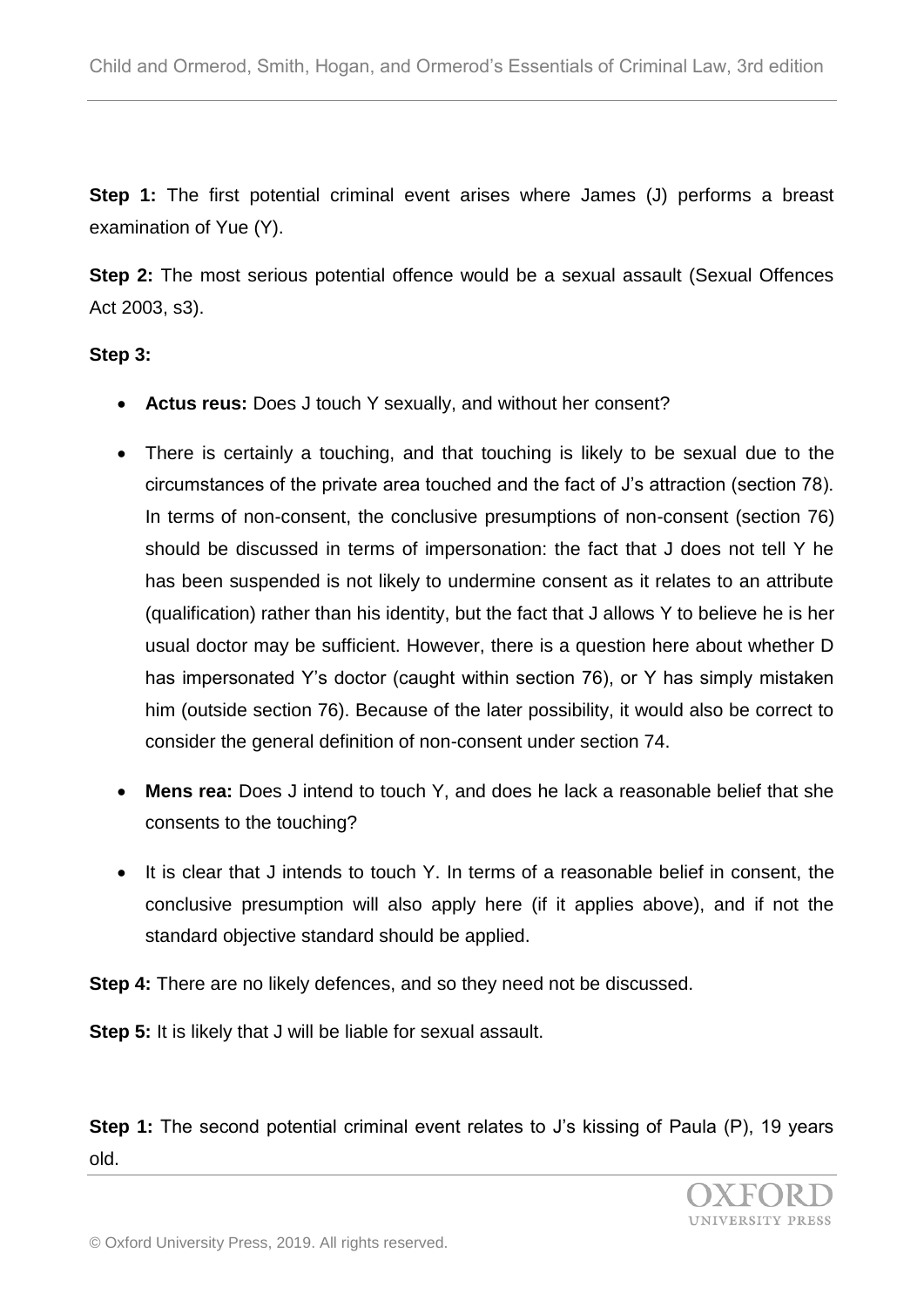**Step 1:** The first potential criminal event arises where James (J) performs a breast examination of Yue (Y).

**Step 2:** The most serious potential offence would be a sexual assault (Sexual Offences Act 2003, s3).

## **Step 3:**

- **Actus reus:** Does J touch Y sexually, and without her consent?
- There is certainly a touching, and that touching is likely to be sexual due to the circumstances of the private area touched and the fact of J's attraction (section 78). In terms of non-consent, the conclusive presumptions of non-consent (section 76) should be discussed in terms of impersonation: the fact that J does not tell Y he has been suspended is not likely to undermine consent as it relates to an attribute (qualification) rather than his identity, but the fact that J allows Y to believe he is her usual doctor may be sufficient. However, there is a question here about whether D has impersonated Y's doctor (caught within section 76), or Y has simply mistaken him (outside section 76). Because of the later possibility, it would also be correct to consider the general definition of non-consent under section 74.
- **Mens rea:** Does J intend to touch Y, and does he lack a reasonable belief that she consents to the touching?
- It is clear that J intends to touch Y. In terms of a reasonable belief in consent, the conclusive presumption will also apply here (if it applies above), and if not the standard objective standard should be applied.

**Step 4:** There are no likely defences, and so they need not be discussed.

**Step 5:** It is likely that J will be liable for sexual assault.

**Step 1:** The second potential criminal event relates to J's kissing of Paula (P), 19 years old.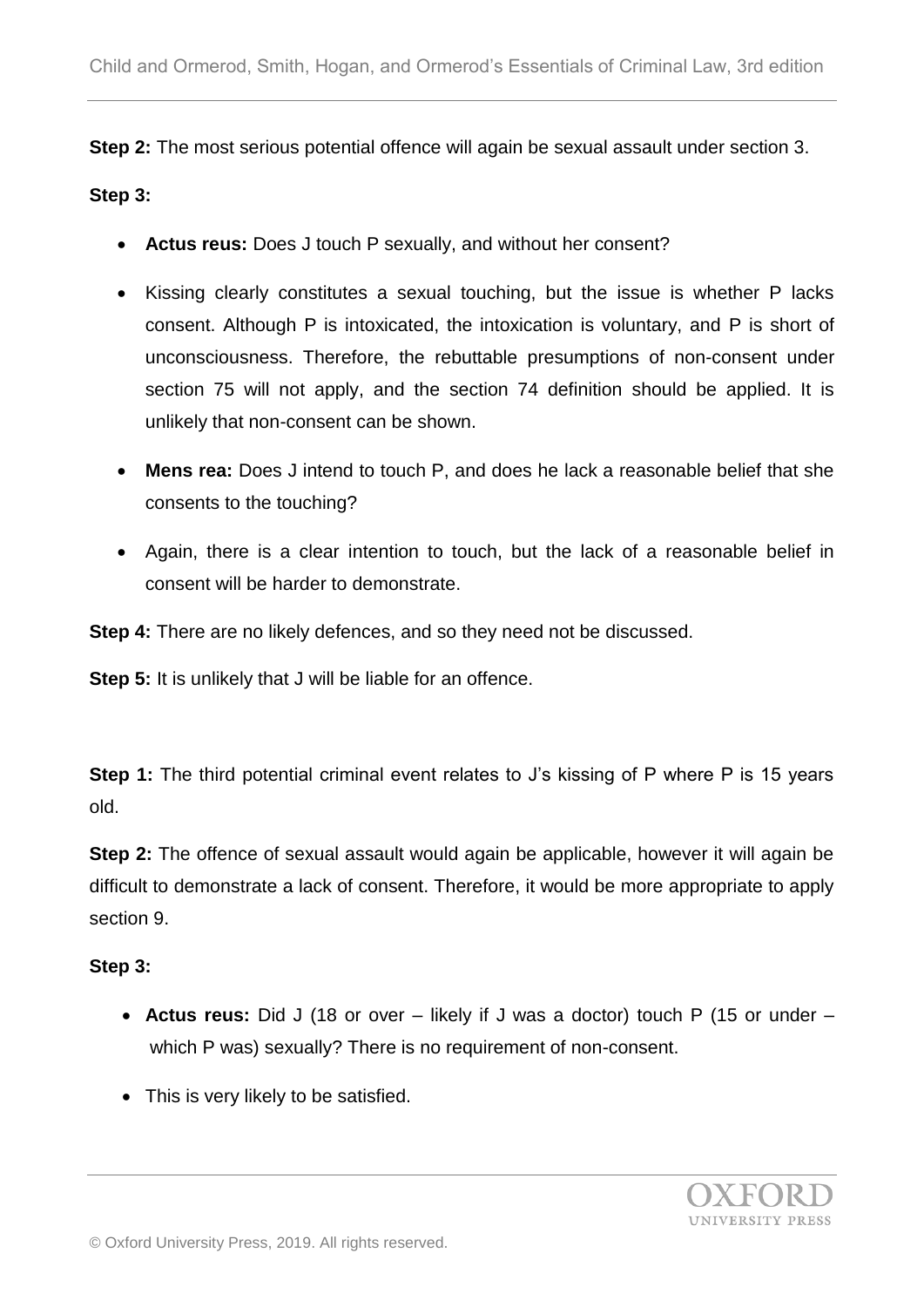**Step 2:** The most serious potential offence will again be sexual assault under section 3.

#### **Step 3:**

- **Actus reus:** Does J touch P sexually, and without her consent?
- Kissing clearly constitutes a sexual touching, but the issue is whether P lacks consent. Although P is intoxicated, the intoxication is voluntary, and P is short of unconsciousness. Therefore, the rebuttable presumptions of non-consent under section 75 will not apply, and the section 74 definition should be applied. It is unlikely that non-consent can be shown.
- **Mens rea:** Does J intend to touch P, and does he lack a reasonable belief that she consents to the touching?
- Again, there is a clear intention to touch, but the lack of a reasonable belief in consent will be harder to demonstrate.

**Step 4:** There are no likely defences, and so they need not be discussed.

**Step 5:** It is unlikely that J will be liable for an offence.

**Step 1:** The third potential criminal event relates to J's kissing of P where P is 15 years old.

**Step 2:** The offence of sexual assault would again be applicable, however it will again be difficult to demonstrate a lack of consent. Therefore, it would be more appropriate to apply section 9.

## **Step 3:**

- **Actus reus:** Did J (18 or over likely if J was a doctor) touch P (15 or under which P was) sexually? There is no requirement of non-consent.
- This is very likely to be satisfied.

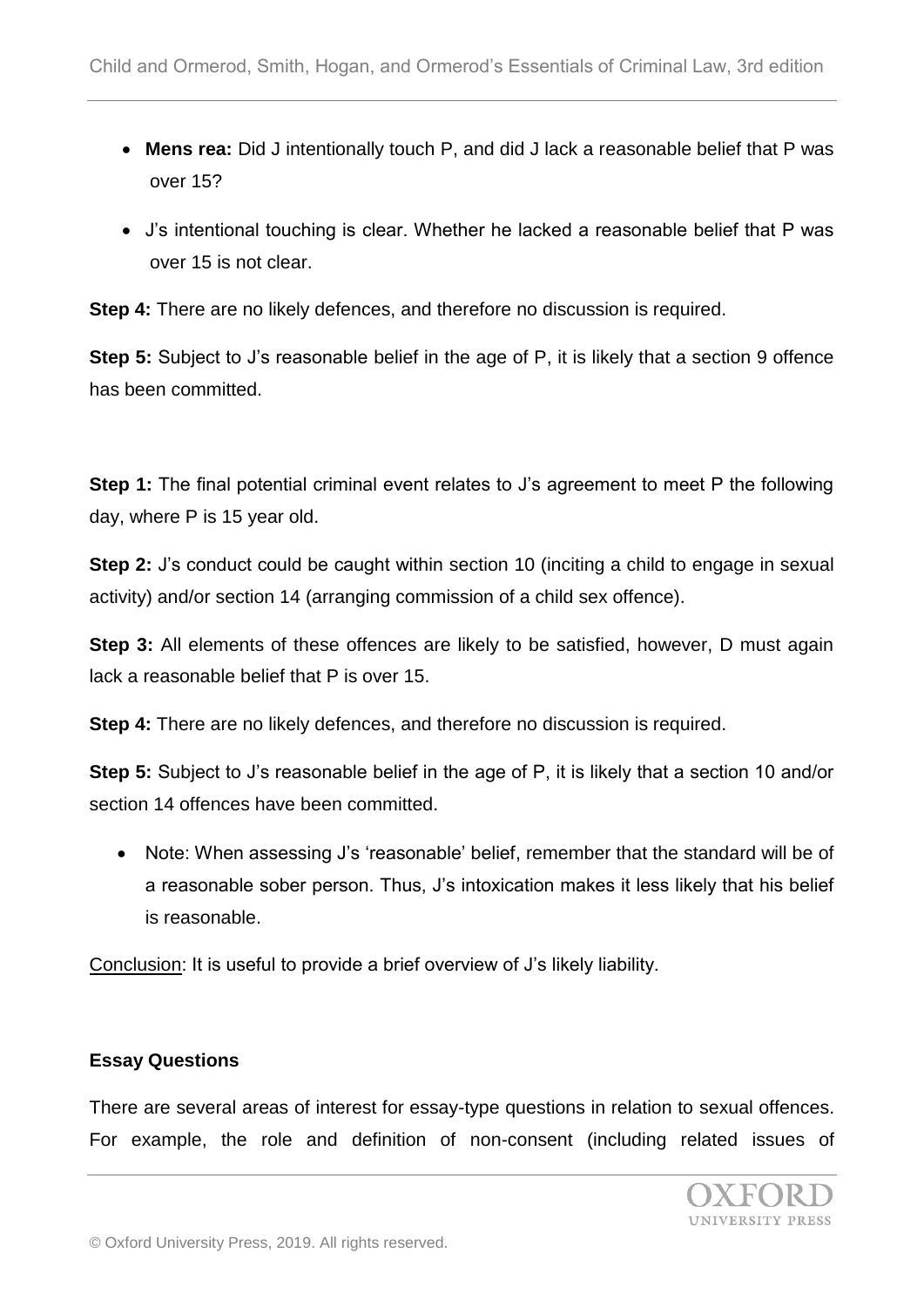- **Mens rea:** Did J intentionally touch P, and did J lack a reasonable belief that P was over 15?
- J's intentional touching is clear. Whether he lacked a reasonable belief that P was over 15 is not clear.

**Step 4:** There are no likely defences, and therefore no discussion is required.

**Step 5:** Subject to J's reasonable belief in the age of P, it is likely that a section 9 offence has been committed.

**Step 1:** The final potential criminal event relates to J's agreement to meet P the following day, where P is 15 year old.

**Step 2:** J's conduct could be caught within section 10 (inciting a child to engage in sexual activity) and/or section 14 (arranging commission of a child sex offence).

**Step 3:** All elements of these offences are likely to be satisfied, however, D must again lack a reasonable belief that P is over 15.

**Step 4:** There are no likely defences, and therefore no discussion is required.

**Step 5:** Subject to J's reasonable belief in the age of P, it is likely that a section 10 and/or section 14 offences have been committed.

• Note: When assessing J's 'reasonable' belief, remember that the standard will be of a reasonable sober person. Thus, J's intoxication makes it less likely that his belief is reasonable.

Conclusion: It is useful to provide a brief overview of J's likely liability.

## **Essay Questions**

There are several areas of interest for essay-type questions in relation to sexual offences. For example, the role and definition of non-consent (including related issues of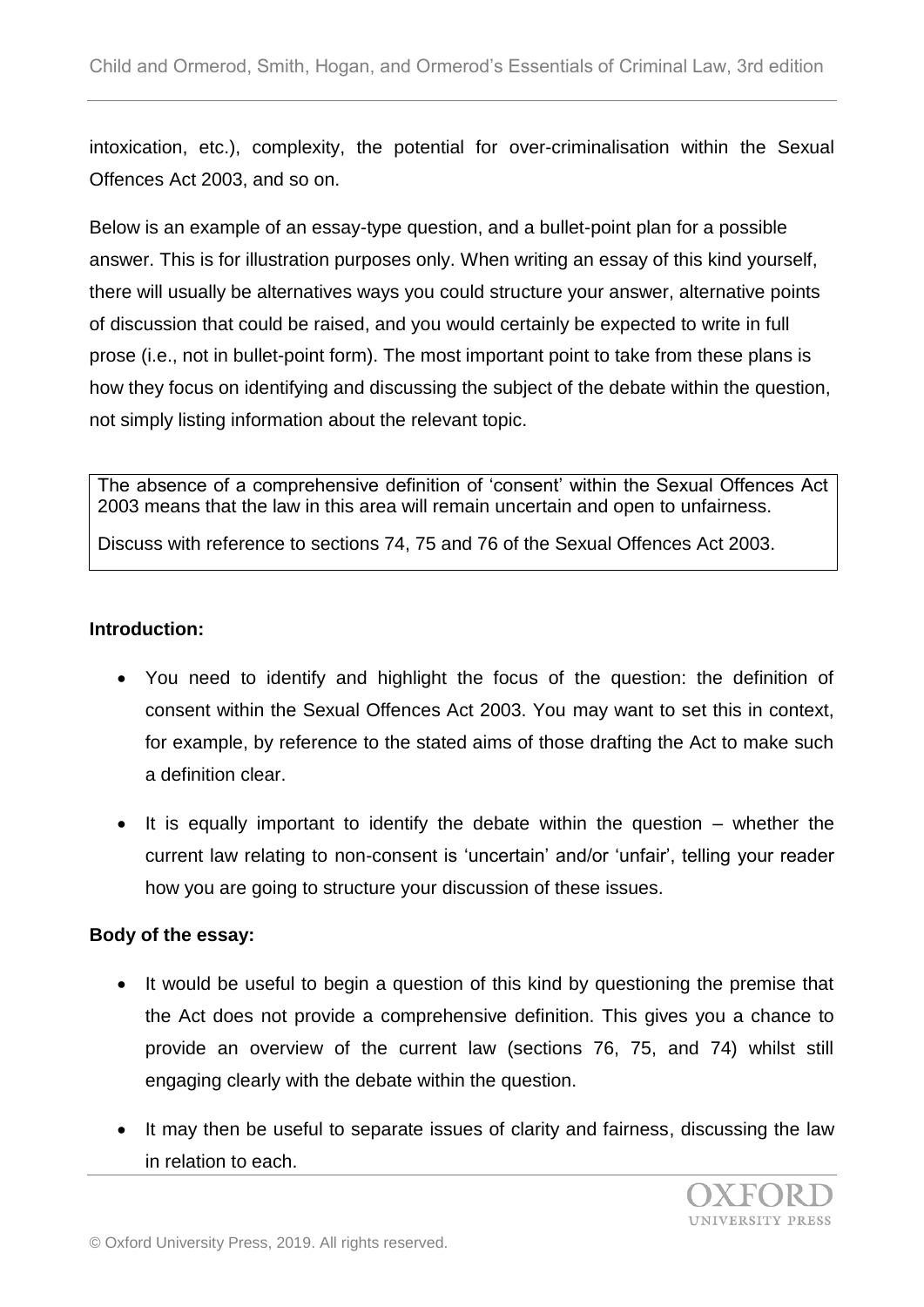intoxication, etc.), complexity, the potential for over-criminalisation within the Sexual Offences Act 2003, and so on.

Below is an example of an essay-type question, and a bullet-point plan for a possible answer. This is for illustration purposes only. When writing an essay of this kind yourself, there will usually be alternatives ways you could structure your answer, alternative points of discussion that could be raised, and you would certainly be expected to write in full prose (i.e., not in bullet-point form). The most important point to take from these plans is how they focus on identifying and discussing the subject of the debate within the question, not simply listing information about the relevant topic.

The absence of a comprehensive definition of 'consent' within the Sexual Offences Act 2003 means that the law in this area will remain uncertain and open to unfairness.

Discuss with reference to sections 74, 75 and 76 of the Sexual Offences Act 2003.

## **Introduction:**

- You need to identify and highlight the focus of the question: the definition of consent within the Sexual Offences Act 2003. You may want to set this in context, for example, by reference to the stated aims of those drafting the Act to make such a definition clear.
- $\bullet$  It is equally important to identify the debate within the question whether the current law relating to non-consent is 'uncertain' and/or 'unfair', telling your reader how you are going to structure your discussion of these issues.

# **Body of the essay:**

- It would be useful to begin a question of this kind by questioning the premise that the Act does not provide a comprehensive definition. This gives you a chance to provide an overview of the current law (sections 76, 75, and 74) whilst still engaging clearly with the debate within the question.
- It may then be useful to separate issues of clarity and fairness, discussing the law in relation to each.